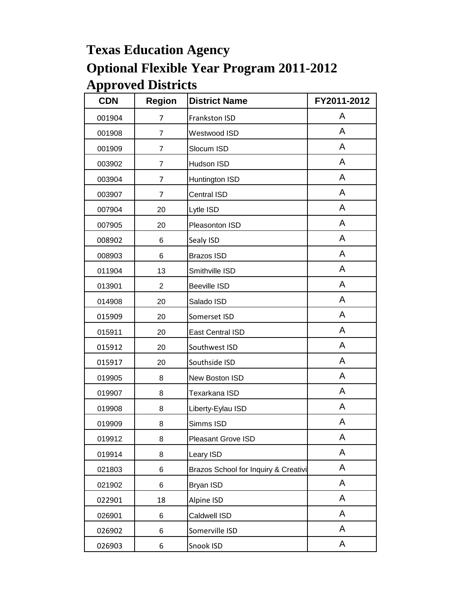| <b>CDN</b> | <b>Region</b>  | <b>District Name</b>                 | FY2011-2012 |
|------------|----------------|--------------------------------------|-------------|
| 001904     | $\overline{7}$ | Frankston ISD                        | A           |
| 001908     | 7              | Westwood ISD                         | A           |
| 001909     | $\overline{7}$ | Slocum ISD                           | A           |
| 003902     | $\overline{7}$ | Hudson ISD                           | A           |
| 003904     | 7              | Huntington ISD                       | A           |
| 003907     | 7              | Central ISD                          | A           |
| 007904     | 20             | Lytle ISD                            | A           |
| 007905     | 20             | Pleasonton ISD                       | A           |
| 008902     | 6              | Sealy ISD                            | A           |
| 008903     | 6              | <b>Brazos ISD</b>                    | A           |
| 011904     | 13             | Smithville ISD                       | A           |
| 013901     | $\overline{2}$ | <b>Beeville ISD</b>                  | A           |
| 014908     | 20             | Salado ISD                           | A           |
| 015909     | 20             | Somerset ISD                         | A           |
| 015911     | 20             | <b>East Central ISD</b>              | A           |
| 015912     | 20             | Southwest ISD                        | A           |
| 015917     | 20             | Southside ISD                        | A           |
| 019905     | 8              | New Boston ISD                       | A           |
| 019907     | 8              | Texarkana ISD                        | A           |
| 019908     | 8              | Liberty-Eylau ISD                    | A           |
| 019909     | 8              | Simms ISD                            | A           |
| 019912     | 8              | Pleasant Grove ISD                   | Α           |
| 019914     | 8              | Leary ISD                            | A           |
| 021803     | 6              | Brazos School for Inquiry & Creativi | A           |
| 021902     | 6              | <b>Bryan ISD</b>                     | A           |
| 022901     | 18             | Alpine ISD                           | A           |
| 026901     | 6              | Caldwell ISD                         | A           |
| 026902     | 6              | Somerville ISD                       | A           |
| 026903     | 6              | Snook ISD                            | A           |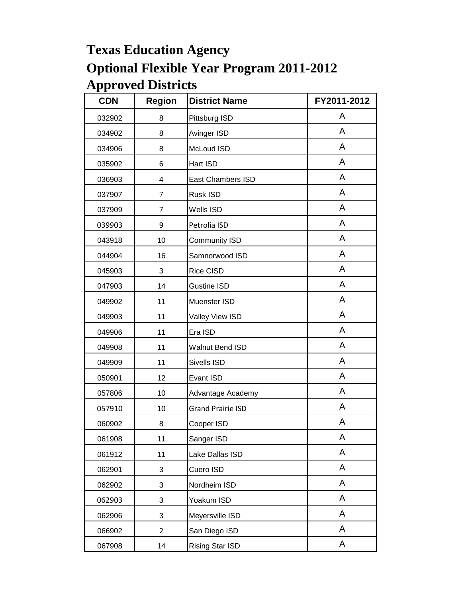| <b>CDN</b> | <b>Region</b>  | <b>District Name</b>     | FY2011-2012 |
|------------|----------------|--------------------------|-------------|
| 032902     | 8              | Pittsburg ISD            | A           |
| 034902     | 8              | Avinger ISD              | A           |
| 034906     | 8              | McLoud ISD               | A           |
| 035902     | 6              | Hart ISD                 | A           |
| 036903     | 4              | East Chambers ISD        | A           |
| 037907     | $\overline{7}$ | Rusk ISD                 | A           |
| 037909     | $\overline{7}$ | Wells ISD                | A           |
| 039903     | 9              | Petrolia ISD             | A           |
| 043918     | 10             | <b>Community ISD</b>     | A           |
| 044904     | 16             | Samnorwood ISD           | A           |
| 045903     | 3              | Rice CISD                | A           |
| 047903     | 14             | <b>Gustine ISD</b>       | A           |
| 049902     | 11             | Muenster ISD             | A           |
| 049903     | 11             | Valley View ISD          | A           |
| 049906     | 11             | Era ISD                  | A           |
| 049908     | 11             | <b>Walnut Bend ISD</b>   | A           |
| 049909     | 11             | Sivells ISD              | A           |
| 050901     | 12             | Evant ISD                | A           |
| 057806     | 10             | Advantage Academy        | A           |
| 057910     | 10             | <b>Grand Prairie ISD</b> | A           |
| 060902     | 8              | Cooper ISD               | A           |
| 061908     | 11             | Sanger ISD               | Α           |
| 061912     | 11             | Lake Dallas ISD          | A           |
| 062901     | 3              | Cuero ISD                | A           |
| 062902     | 3              | Nordheim ISD             | A           |
| 062903     | 3              | Yoakum ISD               | A           |
| 062906     | 3              | Meyersville ISD          | A           |
| 066902     | $\overline{2}$ | San Diego ISD            | A           |
| 067908     | 14             | Rising Star ISD          | A           |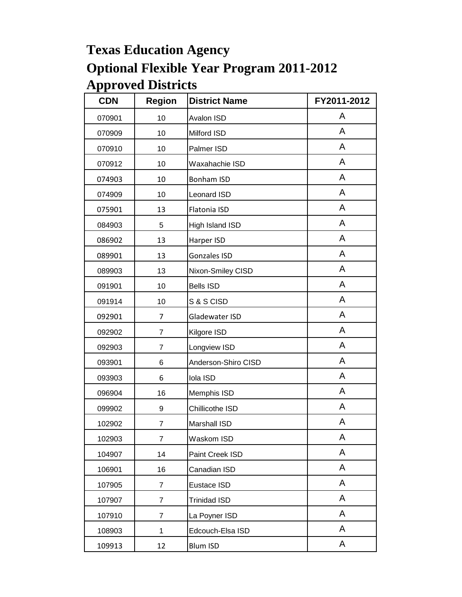| <b>CDN</b> | <b>Region</b>  | <b>District Name</b> | FY2011-2012 |
|------------|----------------|----------------------|-------------|
| 070901     | 10             | Avalon ISD           | A           |
| 070909     | 10             | Milford ISD          | A           |
| 070910     | 10             | Palmer ISD           | A           |
| 070912     | 10             | Waxahachie ISD       | A           |
| 074903     | 10             | <b>Bonham ISD</b>    | A           |
| 074909     | 10             | <b>Leonard ISD</b>   | A           |
| 075901     | 13             | Flatonia ISD         | A           |
| 084903     | 5              | High Island ISD      | A           |
| 086902     | 13             | Harper ISD           | A           |
| 089901     | 13             | Gonzales ISD         | A           |
| 089903     | 13             | Nixon-Smiley CISD    | A           |
| 091901     | 10             | <b>Bells ISD</b>     | A           |
| 091914     | 10             | S & S CISD           | A           |
| 092901     | 7              | Gladewater ISD       | A           |
| 092902     | $\overline{7}$ | Kilgore ISD          | A           |
| 092903     | $\overline{7}$ | Longview ISD         | A           |
| 093901     | 6              | Anderson-Shiro CISD  | A           |
| 093903     | 6              | Iola ISD             | A           |
| 096904     | 16             | Memphis ISD          | A           |
| 099902     | 9              | Chillicothe ISD      | A           |
| 102902     | 7              | <b>Marshall ISD</b>  | А           |
| 102903     | $\overline{7}$ | Waskom ISD           | A           |
| 104907     | 14             | Paint Creek ISD      | A           |
| 106901     | 16             | Canadian ISD         | A           |
| 107905     | $\overline{7}$ | Eustace ISD          | A           |
| 107907     | 7              | <b>Trinidad ISD</b>  | A           |
| 107910     | $\overline{7}$ | La Poyner ISD        | A           |
| 108903     | 1              | Edcouch-Elsa ISD     | A           |
| 109913     | 12             | <b>Blum ISD</b>      | A           |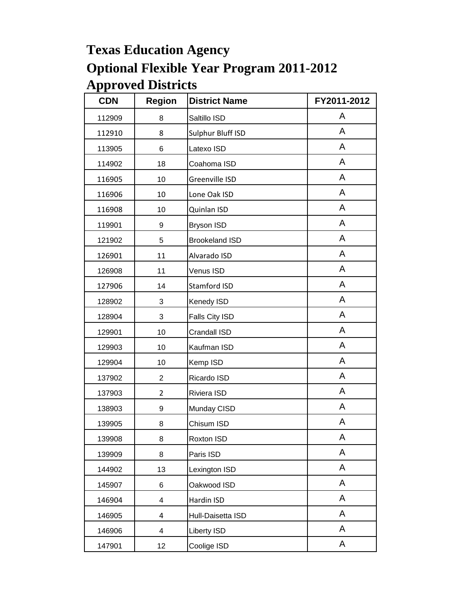| <b>CDN</b> | <b>Region</b>  | <b>District Name</b>  | FY2011-2012 |
|------------|----------------|-----------------------|-------------|
| 112909     | 8              | Saltillo ISD          | A           |
| 112910     | 8              | Sulphur Bluff ISD     | A           |
| 113905     | 6              | Latexo ISD            | A           |
| 114902     | 18             | Coahoma ISD           | A           |
| 116905     | 10             | Greenville ISD        | A           |
| 116906     | 10             | Lone Oak ISD          | A           |
| 116908     | 10             | Quinlan ISD           | A           |
| 119901     | 9              | <b>Bryson ISD</b>     | A           |
| 121902     | 5              | <b>Brookeland ISD</b> | A           |
| 126901     | 11             | Alvarado ISD          | A           |
| 126908     | 11             | Venus ISD             | A           |
| 127906     | 14             | Stamford ISD          | A           |
| 128902     | 3              | Kenedy ISD            | A           |
| 128904     | 3              | Falls City ISD        | A           |
| 129901     | 10             | Crandall ISD          | A           |
| 129903     | 10             | Kaufman ISD           | A           |
| 129904     | 10             | Kemp ISD              | A           |
| 137902     | $\overline{2}$ | Ricardo ISD           | A           |
| 137903     | $\overline{2}$ | Riviera ISD           | A           |
| 138903     | 9              | Munday CISD           | A           |
| 139905     | 8              | Chisum ISD            | A           |
| 139908     | 8              | Roxton ISD            | Α           |
| 139909     | 8              | Paris ISD             | A           |
| 144902     | 13             | Lexington ISD         | A           |
| 145907     | 6              | Oakwood ISD           | A           |
| 146904     | 4              | Hardin ISD            | A           |
| 146905     | 4              | Hull-Daisetta ISD     | A           |
| 146906     | 4              | <b>Liberty ISD</b>    | A           |
| 147901     | 12             | Coolige ISD           | A           |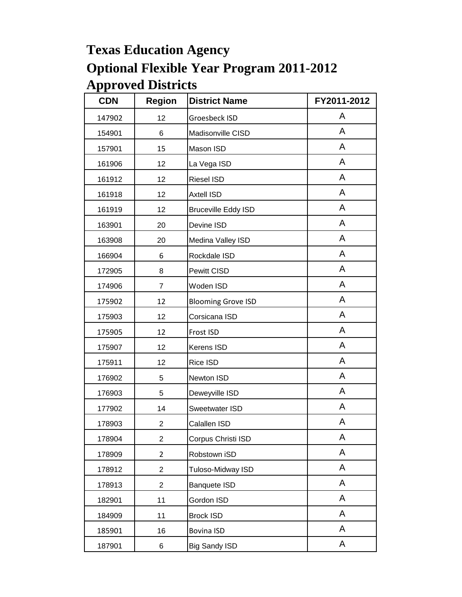| <b>CDN</b> | <b>Region</b>  | <b>District Name</b>       | FY2011-2012 |
|------------|----------------|----------------------------|-------------|
| 147902     | 12             | Groesbeck ISD              | A           |
| 154901     | 6              | Madisonville CISD          | A           |
| 157901     | 15             | Mason ISD                  | A           |
| 161906     | 12             | La Vega ISD                | A           |
| 161912     | 12             | <b>Riesel ISD</b>          | A           |
| 161918     | 12             | <b>Axtell ISD</b>          | A           |
| 161919     | 12             | <b>Bruceville Eddy ISD</b> | A           |
| 163901     | 20             | Devine ISD                 | A           |
| 163908     | 20             | Medina Valley ISD          | A           |
| 166904     | 6              | Rockdale ISD               | A           |
| 172905     | 8              | Pewitt CISD                | A           |
| 174906     | $\overline{7}$ | Woden ISD                  | A           |
| 175902     | 12             | <b>Blooming Grove ISD</b>  | A           |
| 175903     | 12             | Corsicana ISD              | A           |
| 175905     | 12             | Frost ISD                  | A           |
| 175907     | 12             | Kerens ISD                 | A           |
| 175911     | 12             | Rice ISD                   | A           |
| 176902     | 5              | Newton ISD                 | A           |
| 176903     | 5              | Deweyville ISD             | A           |
| 177902     | 14             | Sweetwater ISD             | A           |
| 178903     | $\overline{c}$ | Calallen ISD               | A           |
| 178904     | $\overline{2}$ | Corpus Christi ISD         | A           |
| 178909     | $\overline{2}$ | Robstown iSD               | A           |
| 178912     | $\overline{2}$ | Tuloso-Midway ISD          | A           |
| 178913     | $\overline{2}$ | <b>Banquete ISD</b>        | A           |
| 182901     | 11             | Gordon ISD                 | A           |
| 184909     | 11             | <b>Brock ISD</b>           | A           |
| 185901     | 16             | <b>Bovina ISD</b>          | A           |
| 187901     | 6              | <b>Big Sandy ISD</b>       | A           |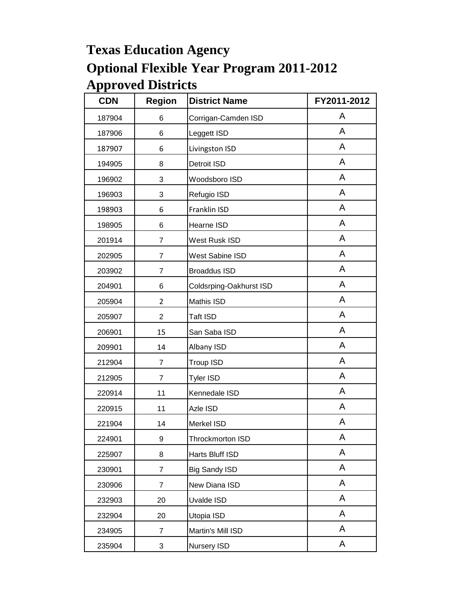| <b>CDN</b> | <b>Region</b>  | <b>District Name</b>    | FY2011-2012 |
|------------|----------------|-------------------------|-------------|
| 187904     | 6              | Corrigan-Camden ISD     | A           |
| 187906     | 6              | Leggett ISD             | A           |
| 187907     | 6              | Livingston ISD          | A           |
| 194905     | 8              | Detroit ISD             | A           |
| 196902     | 3              | Woodsboro ISD           | A           |
| 196903     | 3              | Refugio ISD             | A           |
| 198903     | 6              | Franklin ISD            | A           |
| 198905     | 6              | Hearne ISD              | A           |
| 201914     | $\overline{7}$ | West Rusk ISD           | A           |
| 202905     | $\overline{7}$ | <b>West Sabine ISD</b>  | A           |
| 203902     | $\overline{7}$ | <b>Broaddus ISD</b>     | A           |
| 204901     | 6              | Coldsrping-Oakhurst ISD | A           |
| 205904     | $\overline{2}$ | Mathis ISD              | A           |
| 205907     | $\overline{2}$ | Taft ISD                | A           |
| 206901     | 15             | San Saba ISD            | A           |
| 209901     | 14             | Albany ISD              | A           |
| 212904     | $\overline{7}$ | Troup ISD               | A           |
| 212905     | 7              | <b>Tyler ISD</b>        | A           |
| 220914     | 11             | Kennedale ISD           | A           |
| 220915     | 11             | Azle ISD                | A           |
| 221904     | 14             | Merkel ISD              | А           |
| 224901     | 9              | Throckmorton ISD        | Α           |
| 225907     | 8              | Harts Bluff ISD         | A           |
| 230901     | $\overline{7}$ | <b>Big Sandy ISD</b>    | A           |
| 230906     | $\overline{7}$ | New Diana ISD           | A           |
| 232903     | 20             | Uvalde ISD              | A           |
| 232904     | 20             | Utopia ISD              | A           |
| 234905     | $\overline{7}$ | Martin's Mill ISD       | A           |
| 235904     | 3              | Nursery ISD             | A           |